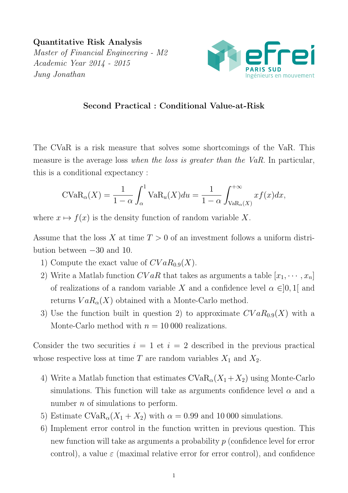Quantitative Risk Analysis Master of Financial Engineering - M2 Academic Year 2014 - 2015 Jung Jonathan



## Second Practical : Conditional Value-at-Risk

The CVaR is a risk measure that solves some shortcomings of the VaR. This measure is the average loss when the loss is greater than the VaR. In particular, this is a conditional expectancy :

$$
\text{CVaR}_{\alpha}(X) = \frac{1}{1-\alpha} \int_{\alpha}^{1} \text{VaR}_{u}(X) du = \frac{1}{1-\alpha} \int_{\text{VaR}_{\alpha}(X)}^{+\infty} x f(x) dx,
$$

where  $x \mapsto f(x)$  is the density function of random variable X.

Assume that the loss X at time  $T > 0$  of an investment follows a uniform distribution between −30 and 10.

- 1) Compute the exact value of  $CVaR_{0.9}(X)$ .
- 2) Write a Matlab function  $CVaR$  that takes as arguments a table  $[x_1, \dots, x_n]$ of realizations of a random variable X and a confidence level  $\alpha \in ]0,1[$  and returns  $VaR_{\alpha}(X)$  obtained with a Monte-Carlo method.
- 3) Use the function built in question 2) to approximate  $CVaR_{0.9}(X)$  with a Monte-Carlo method with  $n = 10000$  realizations.

Consider the two securities  $i = 1$  et  $i = 2$  described in the previous practical whose respective loss at time T are random variables  $X_1$  and  $X_2$ .

- 4) Write a Matlab function that estimates  $CVaR_{\alpha}(X_1+X_2)$  using Monte-Carlo simulations. This function will take as arguments confidence level  $\alpha$  and a number *n* of simulations to perform.
- 5) Estimate  $CVaR_{\alpha}(X_1+X_2)$  with  $\alpha = 0.99$  and 10 000 simulations.
- 6) Implement error control in the function written in previous question. This new function will take as arguments a probability p (confidence level for error control), a value  $\varepsilon$  (maximal relative error for error control), and confidence